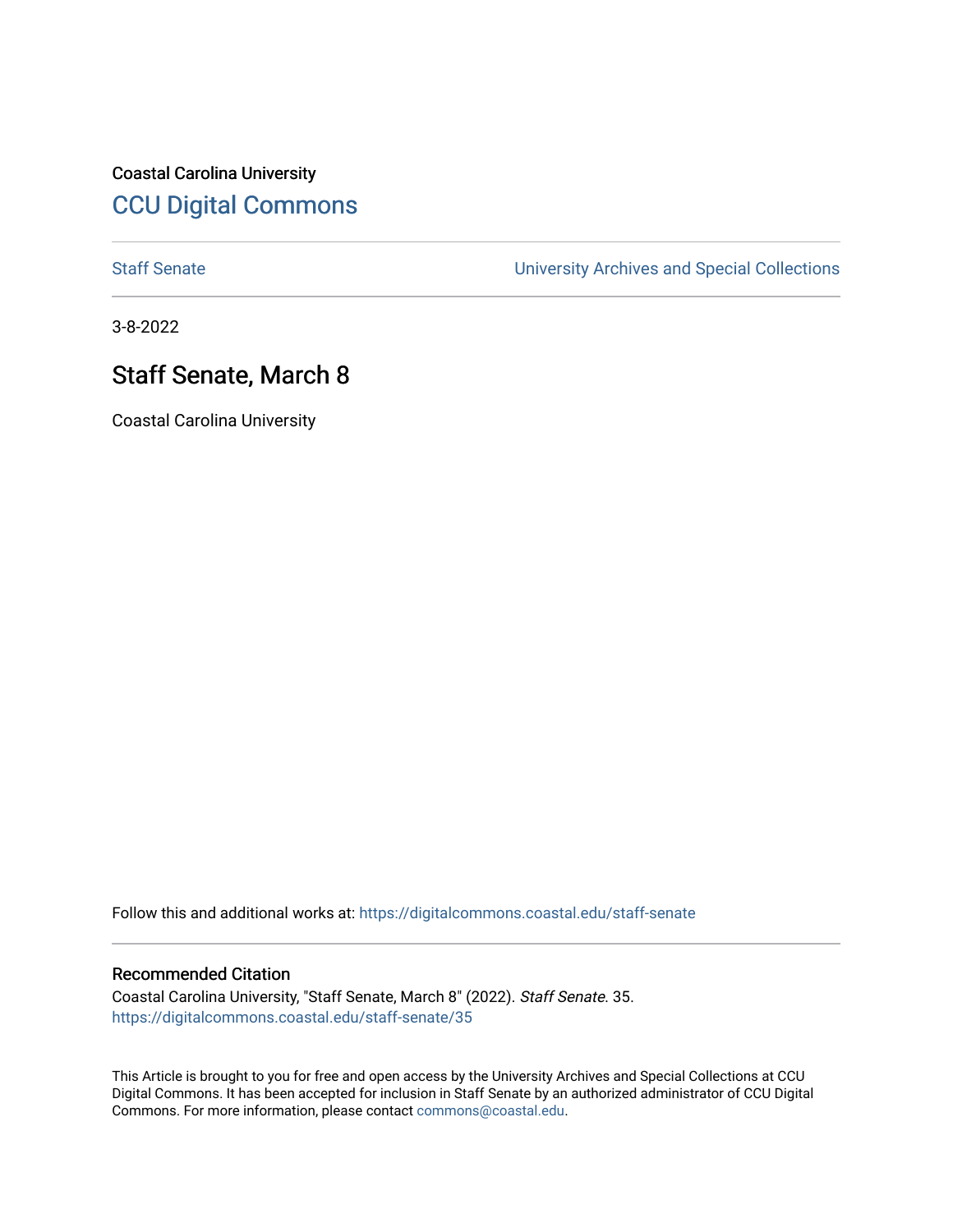Coastal Carolina University [CCU Digital Commons](https://digitalcommons.coastal.edu/) 

[Staff Senate](https://digitalcommons.coastal.edu/staff-senate) [University Archives and Special Collections](https://digitalcommons.coastal.edu/archives) 

3-8-2022

# Staff Senate, March 8

Coastal Carolina University

Follow this and additional works at: [https://digitalcommons.coastal.edu/staff-senate](https://digitalcommons.coastal.edu/staff-senate?utm_source=digitalcommons.coastal.edu%2Fstaff-senate%2F35&utm_medium=PDF&utm_campaign=PDFCoverPages)

#### Recommended Citation

Coastal Carolina University, "Staff Senate, March 8" (2022). Staff Senate. 35. [https://digitalcommons.coastal.edu/staff-senate/35](https://digitalcommons.coastal.edu/staff-senate/35?utm_source=digitalcommons.coastal.edu%2Fstaff-senate%2F35&utm_medium=PDF&utm_campaign=PDFCoverPages) 

This Article is brought to you for free and open access by the University Archives and Special Collections at CCU Digital Commons. It has been accepted for inclusion in Staff Senate by an authorized administrator of CCU Digital Commons. For more information, please contact [commons@coastal.edu.](mailto:commons@coastal.edu)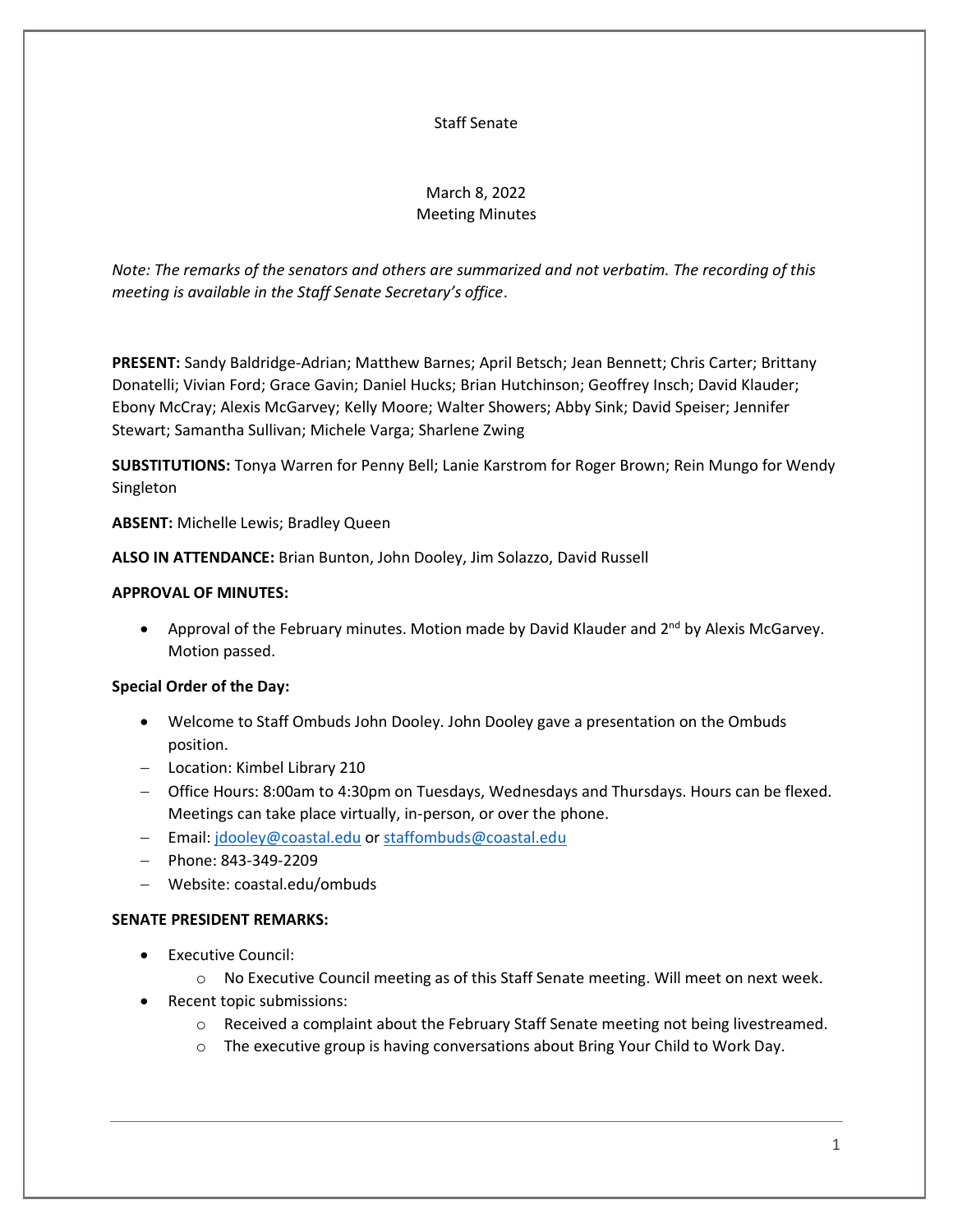### Staff Senate

## March 8, 2022 Meeting Minutes

*Note: The remarks of the senators and others are summarized and not verbatim. The recording of this meeting is available in the Staff Senate Secretary's office*.

**PRESENT:** Sandy Baldridge-Adrian; Matthew Barnes; April Betsch; Jean Bennett; Chris Carter; Brittany Donatelli; Vivian Ford; Grace Gavin; Daniel Hucks; Brian Hutchinson; Geoffrey Insch; David Klauder; Ebony McCray; Alexis McGarvey; Kelly Moore; Walter Showers; Abby Sink; David Speiser; Jennifer Stewart; Samantha Sullivan; Michele Varga; Sharlene Zwing

**SUBSTITUTIONS:** Tonya Warren for Penny Bell; Lanie Karstrom for Roger Brown; Rein Mungo for Wendy Singleton

**ABSENT:** Michelle Lewis; Bradley Queen

**ALSO IN ATTENDANCE:** Brian Bunton, John Dooley, Jim Solazzo, David Russell

## **APPROVAL OF MINUTES:**

• Approval of the February minutes. Motion made by David Klauder and  $2^{nd}$  by Alexis McGarvey. Motion passed.

## **Special Order of the Day:**

- Welcome to Staff Ombuds John Dooley. John Dooley gave a presentation on the Ombuds position.
- − Location: Kimbel Library 210
- − Office Hours: 8:00am to 4:30pm on Tuesdays, Wednesdays and Thursdays. Hours can be flexed. Meetings can take place virtually, in-person, or over the phone.
- − Email: [jdooley@coastal.edu](mailto:jdooley@coastal.edu) o[r staffombuds@coastal.edu](mailto:staffombuds@coastal.edu)
- − Phone: 843-349-2209
- − Website: coastal.edu/ombuds

## **SENATE PRESIDENT REMARKS:**

- Executive Council:
	- o No Executive Council meeting as of this Staff Senate meeting. Will meet on next week.
- Recent topic submissions:
	- $\circ$  Received a complaint about the February Staff Senate meeting not being livestreamed.
	- $\circ$  The executive group is having conversations about Bring Your Child to Work Day.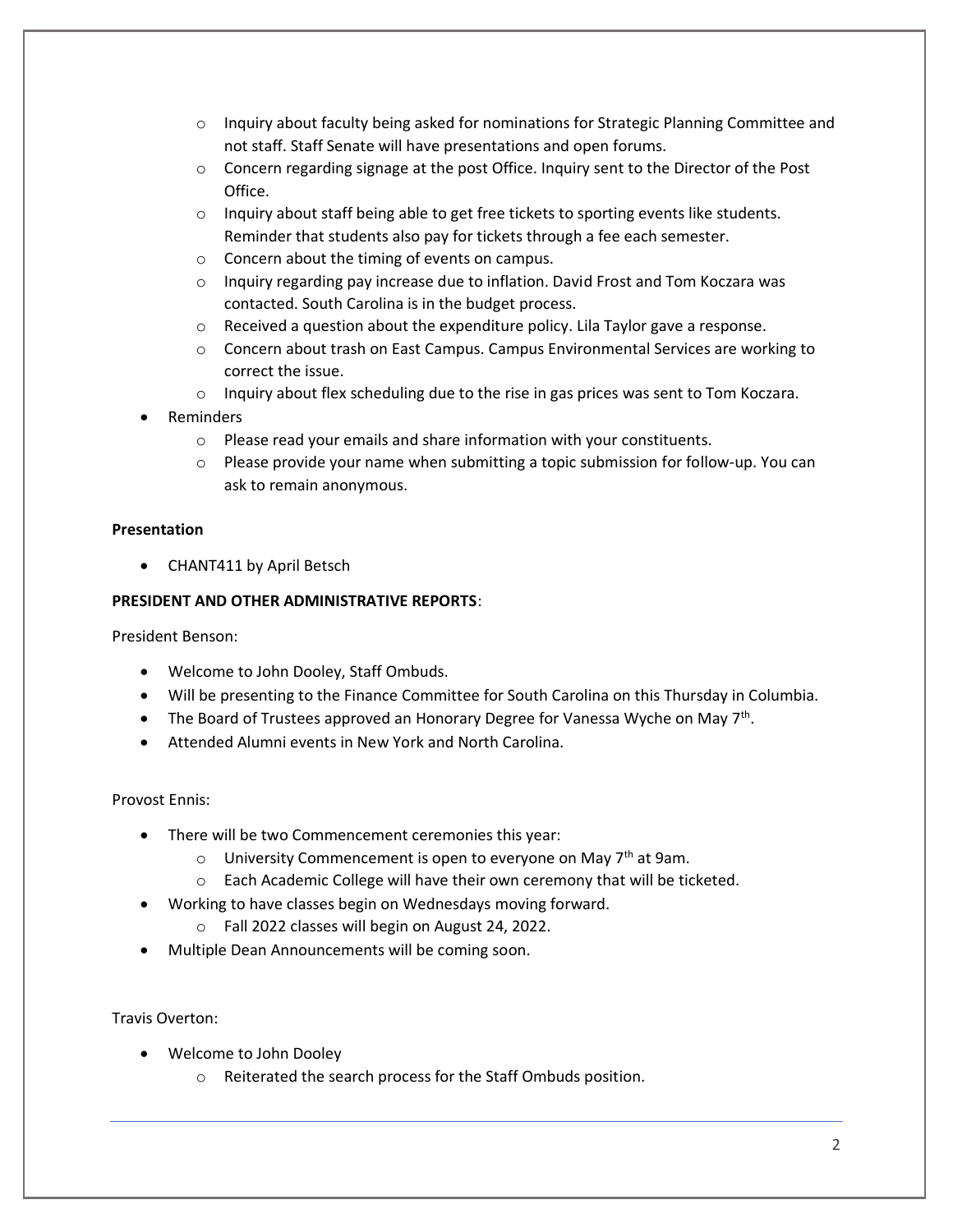- $\circ$  Inquiry about faculty being asked for nominations for Strategic Planning Committee and not staff. Staff Senate will have presentations and open forums.
- o Concern regarding signage at the post Office. Inquiry sent to the Director of the Post Office.
- $\circ$  Inquiry about staff being able to get free tickets to sporting events like students. Reminder that students also pay for tickets through a fee each semester.
- o Concern about the timing of events on campus.
- o Inquiry regarding pay increase due to inflation. David Frost and Tom Koczara was contacted. South Carolina is in the budget process.
- o Received a question about the expenditure policy. Lila Taylor gave a response.
- $\circ$  Concern about trash on East Campus. Campus Environmental Services are working to correct the issue.
- $\circ$  Inquiry about flex scheduling due to the rise in gas prices was sent to Tom Koczara.
- Reminders
	- o Please read your emails and share information with your constituents.
	- $\circ$  Please provide your name when submitting a topic submission for follow-up. You can ask to remain anonymous.

## **Presentation**

• CHANT411 by April Betsch

## **PRESIDENT AND OTHER ADMINISTRATIVE REPORTS**:

President Benson:

- Welcome to John Dooley, Staff Ombuds.
- Will be presenting to the Finance Committee for South Carolina on this Thursday in Columbia.
- The Board of Trustees approved an Honorary Degree for Vanessa Wyche on May 7<sup>th</sup>.
- Attended Alumni events in New York and North Carolina.

## Provost Ennis:

- There will be two Commencement ceremonies this year:
	- $\circ$  University Commencement is open to everyone on May 7<sup>th</sup> at 9am.
	- o Each Academic College will have their own ceremony that will be ticketed.
- Working to have classes begin on Wednesdays moving forward.
	- o Fall 2022 classes will begin on August 24, 2022.
- Multiple Dean Announcements will be coming soon.

Travis Overton:

- Welcome to John Dooley
	- o Reiterated the search process for the Staff Ombuds position.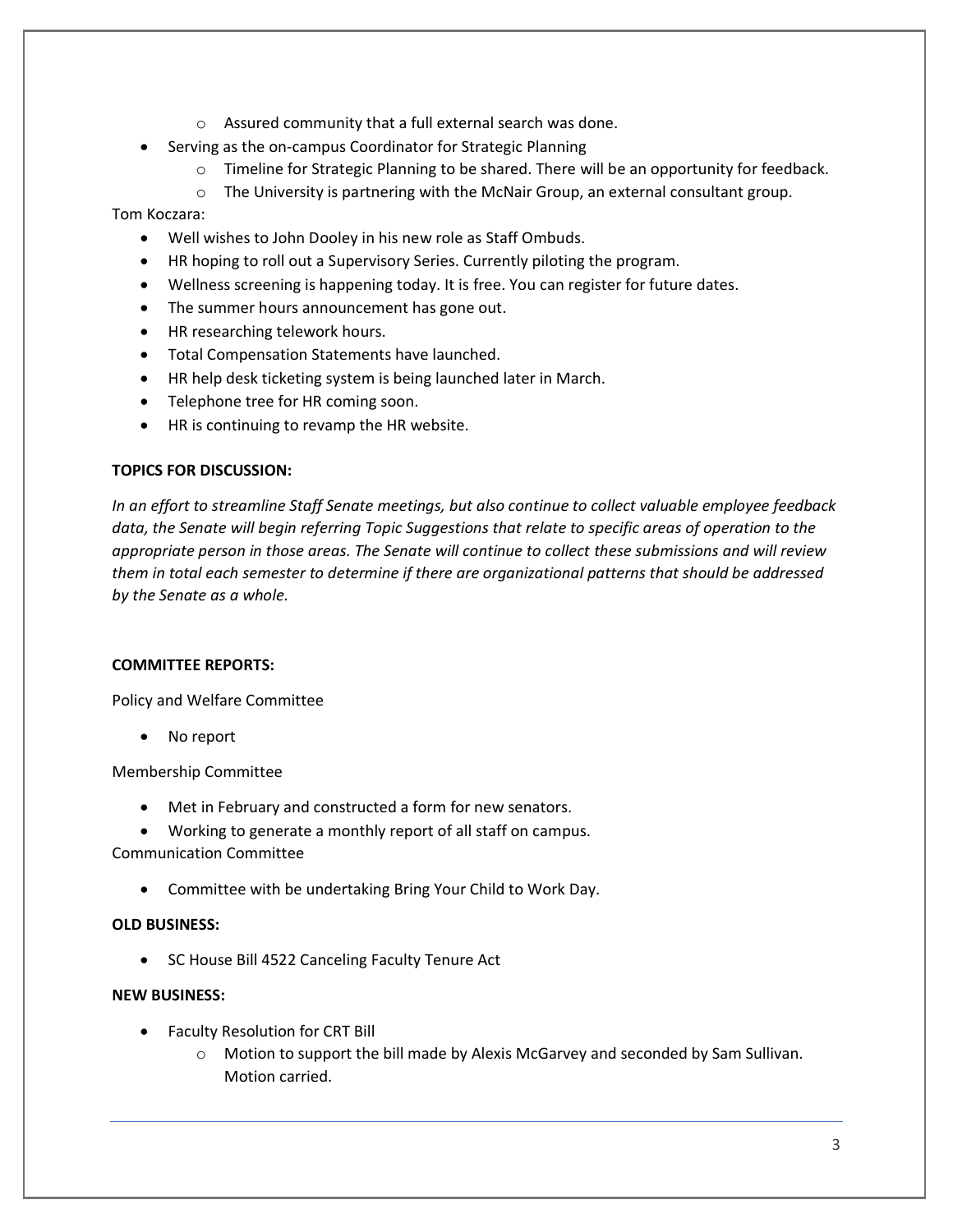- o Assured community that a full external search was done.
- Serving as the on-campus Coordinator for Strategic Planning
	- o Timeline for Strategic Planning to be shared. There will be an opportunity for feedback.
	- o The University is partnering with the McNair Group, an external consultant group.

Tom Koczara:

- Well wishes to John Dooley in his new role as Staff Ombuds.
- HR hoping to roll out a Supervisory Series. Currently piloting the program.
- Wellness screening is happening today. It is free. You can register for future dates.
- The summer hours announcement has gone out.
- HR researching telework hours.
- Total Compensation Statements have launched.
- HR help desk ticketing system is being launched later in March.
- Telephone tree for HR coming soon.
- HR is continuing to revamp the HR website.

## **TOPICS FOR DISCUSSION:**

*In an effort to streamline Staff Senate meetings, but also continue to collect valuable employee feedback data, the Senate will begin referring Topic Suggestions that relate to specific areas of operation to the appropriate person in those areas. The Senate will continue to collect these submissions and will review them in total each semester to determine if there are organizational patterns that should be addressed by the Senate as a whole.*

#### **COMMITTEE REPORTS:**

Policy and Welfare Committee

No report

Membership Committee

• Met in February and constructed a form for new senators.

• Working to generate a monthly report of all staff on campus. Communication Committee

• Committee with be undertaking Bring Your Child to Work Day.

## **OLD BUSINESS:**

• SC House Bill 4522 Canceling Faculty Tenure Act

## **NEW BUSINESS:**

- Faculty Resolution for CRT Bill
	- $\circ$  Motion to support the bill made by Alexis McGarvey and seconded by Sam Sullivan. Motion carried.